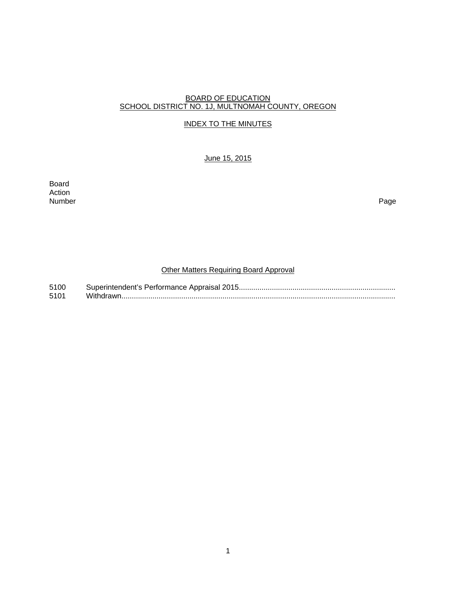#### BOARD OF EDUCATION SCHOOL DISTRICT NO. 1J, MULTNOMAH COUNTY, OREGON

## INDEX TO THE MINUTES

### June 15, 2015

Board Action<br>Number Number Page

# Other Matters Requiring Board Approval

5100 Superintendent's Performance Appraisal 2015 ............................................................................ 5101 Withdrawn .....................................................................................................................................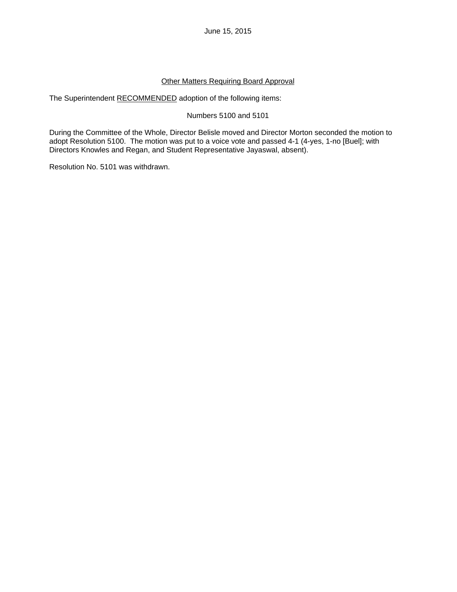## Other Matters Requiring Board Approval

The Superintendent RECOMMENDED adoption of the following items:

# Numbers 5100 and 5101

During the Committee of the Whole, Director Belisle moved and Director Morton seconded the motion to adopt Resolution 5100. The motion was put to a voice vote and passed 4-1 (4-yes, 1-no [Buel]; with Directors Knowles and Regan, and Student Representative Jayaswal, absent).

Resolution No. 5101 was withdrawn.